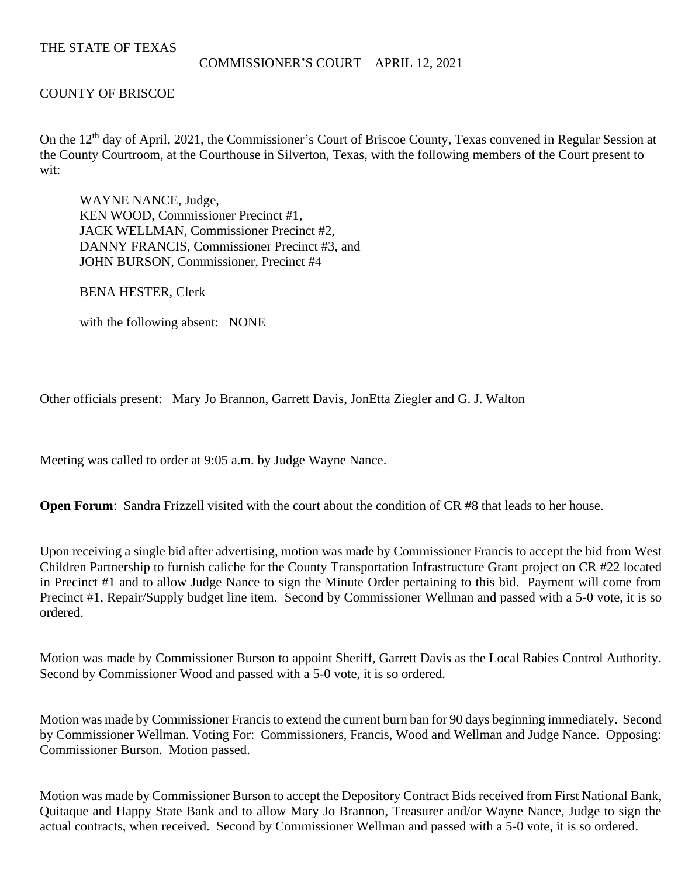# THE STATE OF TEXAS

#### COMMISSIONER'S COURT – APRIL 12, 2021

### COUNTY OF BRISCOE

On the 12<sup>th</sup> day of April, 2021, the Commissioner's Court of Briscoe County, Texas convened in Regular Session at the County Courtroom, at the Courthouse in Silverton, Texas, with the following members of the Court present to wit:

WAYNE NANCE, Judge, KEN WOOD, Commissioner Precinct #1, JACK WELLMAN, Commissioner Precinct #2, DANNY FRANCIS, Commissioner Precinct #3, and JOHN BURSON, Commissioner, Precinct #4

BENA HESTER, Clerk

with the following absent: NONE

Other officials present: Mary Jo Brannon, Garrett Davis, JonEtta Ziegler and G. J. Walton

Meeting was called to order at 9:05 a.m. by Judge Wayne Nance.

**Open Forum:** Sandra Frizzell visited with the court about the condition of CR #8 that leads to her house.

Upon receiving a single bid after advertising, motion was made by Commissioner Francis to accept the bid from West Children Partnership to furnish caliche for the County Transportation Infrastructure Grant project on CR #22 located in Precinct #1 and to allow Judge Nance to sign the Minute Order pertaining to this bid. Payment will come from Precinct #1, Repair/Supply budget line item. Second by Commissioner Wellman and passed with a 5-0 vote, it is so ordered.

Motion was made by Commissioner Burson to appoint Sheriff, Garrett Davis as the Local Rabies Control Authority. Second by Commissioner Wood and passed with a 5-0 vote, it is so ordered.

Motion was made by Commissioner Francis to extend the current burn ban for 90 days beginning immediately. Second by Commissioner Wellman. Voting For: Commissioners, Francis, Wood and Wellman and Judge Nance. Opposing: Commissioner Burson. Motion passed.

Motion was made by Commissioner Burson to accept the Depository Contract Bids received from First National Bank, Quitaque and Happy State Bank and to allow Mary Jo Brannon, Treasurer and/or Wayne Nance, Judge to sign the actual contracts, when received. Second by Commissioner Wellman and passed with a 5-0 vote, it is so ordered.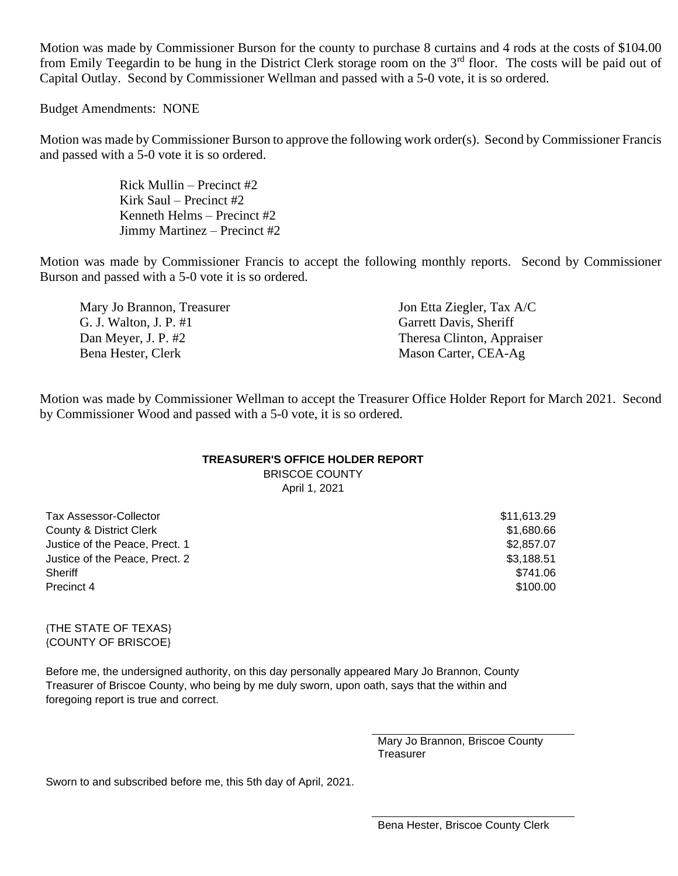Motion was made by Commissioner Burson for the county to purchase 8 curtains and 4 rods at the costs of \$104.00 from Emily Teegardin to be hung in the District Clerk storage room on the 3<sup>rd</sup> floor. The costs will be paid out of Capital Outlay. Second by Commissioner Wellman and passed with a 5-0 vote, it is so ordered.

Budget Amendments: NONE

Motion was made by Commissioner Burson to approve the following work order(s). Second by Commissioner Francis and passed with a 5-0 vote it is so ordered.

> Rick Mullin – Precinct #2 Kirk Saul – Precinct #2 Kenneth Helms – Precinct #2 Jimmy Martinez – Precinct #2

Motion was made by Commissioner Francis to accept the following monthly reports. Second by Commissioner Burson and passed with a 5-0 vote it is so ordered.

Mary Jo Brannon, Treasurer Jon Etta Ziegler, Tax A/C G. J. Walton, J. P. #1 Garrett Davis, Sheriff Dan Meyer, J. P. #2 Theresa Clinton, Appraiser Bena Hester, Clerk Mason Carter, CEA-Ag

Motion was made by Commissioner Wellman to accept the Treasurer Office Holder Report for March 2021. Second by Commissioner Wood and passed with a 5-0 vote, it is so ordered.

# **TREASURER'S OFFICE HOLDER REPORT**

BRISCOE COUNTY April 1, 2021

Tax Assessor-Collector \$11,613.29 County & District Clerk \$1,680.66 Justice of the Peace, Prect. 1  $$2,857.07$ Justice of the Peace, Prect. 2  $$3,188.51$ Sheriff \$741.06 Precinct 4  $$100.00$ 

#### {THE STATE OF TEXAS} {COUNTY OF BRISCOE}

Before me, the undersigned authority, on this day personally appeared Mary Jo Brannon, County Treasurer of Briscoe County, who being by me duly sworn, upon oath, says that the within and foregoing report is true and correct.

> Mary Jo Brannon, Briscoe County **Treasurer**

Sworn to and subscribed before me, this 5th day of April, 2021.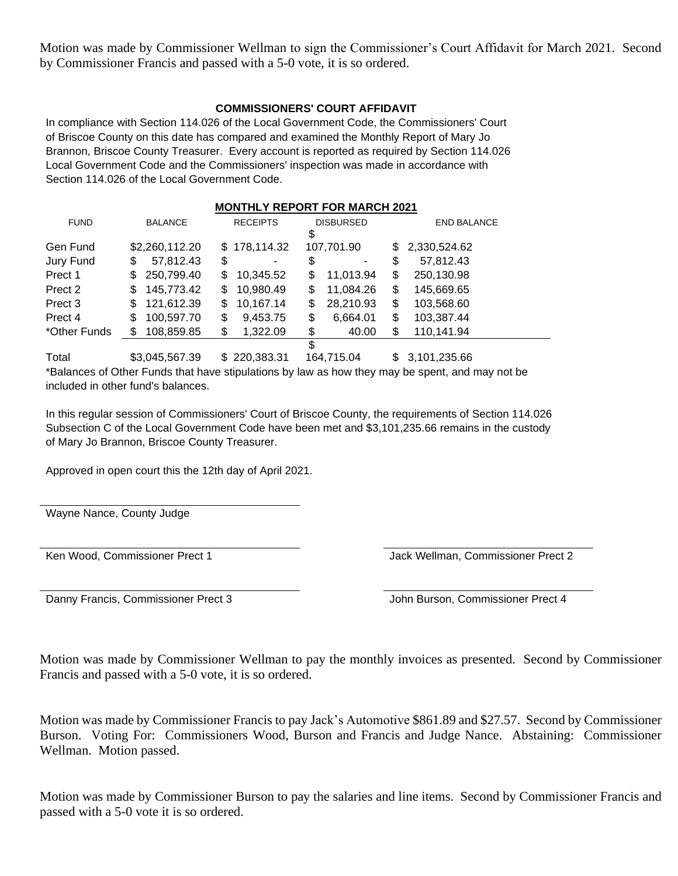Motion was made by Commissioner Wellman to sign the Commissioner's Court Affidavit for March 2021. Second by Commissioner Francis and passed with a 5-0 vote, it is so ordered.

## **COMMISSIONERS' COURT AFFIDAVIT**

In compliance with Section 114.026 of the Local Government Code, the Commissioners' Court of Briscoe County on this date has compared and examined the Monthly Report of Mary Jo Brannon, Briscoe County Treasurer. Every account is reported as required by Section 114.026 Local Government Code and the Commissioners' inspection was made in accordance with Section 114.026 of the Local Government Code.

|              |                 |                 | <b>MONTHLY REPORT FOR MARCH 2021</b> |                    |
|--------------|-----------------|-----------------|--------------------------------------|--------------------|
| <b>FUND</b>  | <b>BALANCE</b>  | <b>RECEIPTS</b> | <b>DISBURSED</b><br>\$               | <b>END BALANCE</b> |
| Gen Fund     | \$2,260,112.20  | \$178,114.32    | 107,701.90                           | \$2,330,524.62     |
| Jury Fund    | 57,812.43<br>\$ | \$<br>-         | \$                                   | 57,812.43<br>\$    |
| Prect 1      | 250,799.40<br>S | 10,345.52<br>\$ | 11,013.94<br>\$                      | 250,130.98<br>\$   |
| Prect 2      | 145,773.42<br>S | 10,980.49<br>S  | 11,084.26<br>\$                      | \$<br>145,669.65   |
| Prect 3      | 121,612.39<br>S | 10,167.14<br>\$ | 28,210.93<br>\$                      | \$<br>103,568.60   |
| Prect 4      | 100,597.70<br>S | 9,453.75<br>\$  | \$<br>6,664.01                       | 103,387.44<br>\$   |
| *Other Funds | 108,859.85      | \$<br>1,322.09  | \$<br>40.00                          | \$<br>110,141.94   |
|              |                 |                 | \$                                   |                    |

Total \$3,045,567.39 \$ 220,383.31 164,715.04 \$ 3,101,235.66 \*Balances of Other Funds that have stipulations by law as how they may be spent, and may not be included in other fund's balances.

In this regular session of Commissioners' Court of Briscoe County, the requirements of Section 114.026 Subsection C of the Local Government Code have been met and \$3,101,235.66 remains in the custody of Mary Jo Brannon, Briscoe County Treasurer.

Approved in open court this the 12th day of April 2021.

Wayne Nance, County Judge

Ken Wood, Commissioner Prect 1 and 1 Jack Wellman, Commissioner Prect 2

Danny Francis, Commissioner Prect 3 John Burson, Commissioner Prect 4

Motion was made by Commissioner Wellman to pay the monthly invoices as presented. Second by Commissioner Francis and passed with a 5-0 vote, it is so ordered.

Motion was made by Commissioner Francis to pay Jack's Automotive \$861.89 and \$27.57. Second by Commissioner Burson. Voting For: Commissioners Wood, Burson and Francis and Judge Nance. Abstaining: Commissioner Wellman. Motion passed.

Motion was made by Commissioner Burson to pay the salaries and line items. Second by Commissioner Francis and passed with a 5-0 vote it is so ordered.